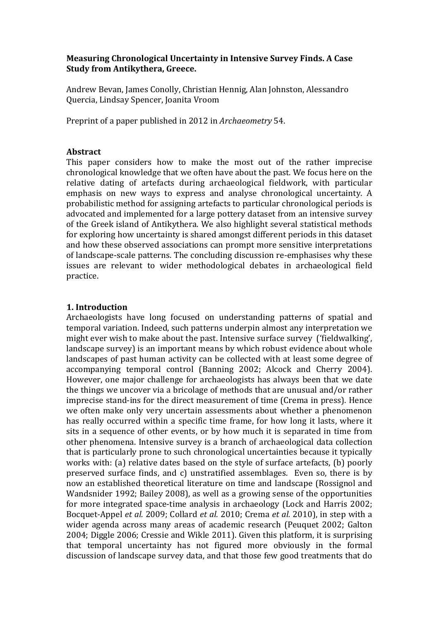# **Measuring Chronological Uncertainty in Intensive Survey Finds. A Case Study from Antikythera, Greece.**

Andrew Bevan, James Conolly, Christian Hennig, Alan Johnston, Alessandro Quercia, Lindsay Spencer, Joanita Vroom

Preprint of a paper published in 2012 in *Archaeometry* 54.

# **Abstract**

This paper considers how to make the most out of the rather imprecise chronological knowledge that we often have about the past. We focus here on the relative dating of artefacts during archaeological fieldwork, with particular emphasis on new ways to express and analyse chronological uncertainty. A probabilistic method for assigning artefacts to particular chronological periods is advocated and implemented for a large pottery dataset from an intensive survey' of the Greek island of Antikythera. We also highlight several statistical methods for exploring how uncertainty is shared amongst different periods in this dataset and how these observed associations can prompt more sensitive interpretations of landscape-scale patterns. The concluding discussion re-emphasises why these issues are relevant to wider methodological debates in archaeological field practice.

# **1.** Introduction

Archaeologists' have long focused on understanding patterns of spatial and temporal variation. Indeed, such patterns underpin almost any interpretation we might ever wish to make about the past. Intensive surface survey ('fieldwalking', landscape survey) is an important means by which robust evidence about whole landscapes of past human activity can be collected with at least some degree of accompanying temporal control (Banning 2002; Alcock and Cherry 2004). However, one major challenge for archaeologists has always been that we date the things we uncover via a bricolage of methods that are unusual and/or rather imprecise stand-ins for the direct measurement of time (Crema in press). Hence we often make only very uncertain assessments about whether a phenomenon has really occurred within a specific time frame, for how long it lasts, where it sits in a sequence of other events, or by how much it is separated in time from other phenomena. Intensive survey is a branch of archaeological data collection that is particularly prone to such chronological uncertainties because it typically works with: (a) relative dates based on the style of surface artefacts, (b) poorly preserved surface finds, and c) unstratified assemblages. Even so, there is by now an established theoretical literature on time and landscape (Rossignol and Wandsnider 1992; Bailey 2008), as well as a growing sense of the opportunities for more integrated space-time analysis in archaeology (Lock and Harris 2002; Bocquet-Appel *et al.* 2009; Collard *et al.* 2010; Crema *et al.* 2010), in step with a wider agenda across many areas of academic research (Peuquet 2002; Galton 2004; Diggle 2006; Cressie and Wikle 2011). Given this platform, it is surprising that temporal uncertainty has not figured more obviously in the formal discussion of landscape survey data, and that those few good treatments that do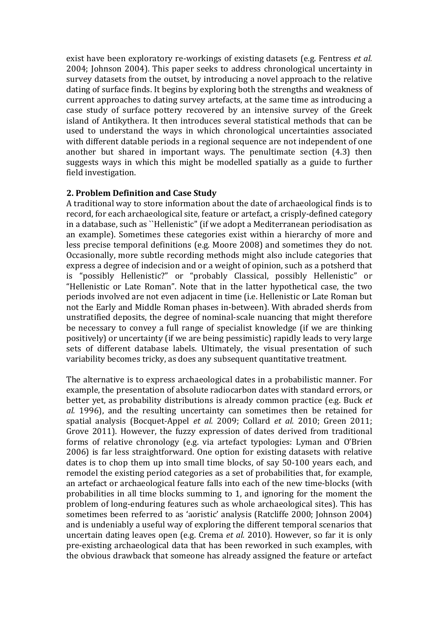exist have been exploratory re-workings of existing datasets (e.g. Fentress *et al.*) 2004; Johnson 2004). This paper seeks to address chronological uncertainty in survey datasets from the outset, by introducing a novel approach to the relative dating of surface finds. It begins by exploring both the strengths and weakness of current approaches to dating survey artefacts, at the same time as introducing a case study of surface pottery recovered by an intensive survey of the Greek island of Antikythera. It then introduces several statistical methods that can be used to understand the ways in which chronological uncertainties associated with different datable periods in a regional sequence are not independent of one another but shared in important ways. The penultimate section (4.3) then suggests ways in which this might be modelled spatially as a guide to further field investigation.

# **2. Problem Definition and Case Study**

A traditional way to store information about the date of archaeological finds is to record, for each archaeological site, feature or artefact, a crisply-defined category in a database, such as "Hellenistic" (if we adopt a Mediterranean periodisation as an example). Sometimes these categories exist within a hierarchy of more and less precise temporal definitions (e.g. Moore 2008) and sometimes they do not. Occasionally, more subtle recording methods might also include categories that express a degree of indecision and or a weight of opinion, such as a potsherd that is "possibly Hellenistic?" or "probably Classical, possibly Hellenistic" or "Hellenistic or Late Roman". Note that in the latter hypothetical case, the two periods involved are not even adjacent in time (i.e. Hellenistic or Late Roman but) not the Early and Middle Roman phases in-between). With abraded sherds from unstratified deposits, the degree of nominal-scale nuancing that might therefore be necessary to convey a full range of specialist knowledge (if we are thinking) positively)'or'uncertainty'(if'we'are'being'pessimistic)'rapidly'leads'to'very'large' sets of different database labels. Ultimately, the visual presentation of such variability becomes tricky, as does any subsequent quantitative treatment.

The alternative is to express archaeological dates in a probabilistic manner. For example, the presentation of absolute radiocarbon dates with standard errors, or better vet, as probability distributions is already common practice (e.g. Buck *et*) al. 1996), and the resulting uncertainty can sometimes then be retained for spatial analysis (Bocquet-Appel *et al.* 2009; Collard *et al.* 2010; Green 2011; Grove 2011). However, the fuzzy expression of dates derived from traditional forms of relative chronology (e.g. via artefact typologies: Lyman and O'Brien 2006) is far less straightforward. One option for existing datasets with relative dates is to chop them up into small time blocks, of say 50-100 years each, and remodel the existing period categories as a set of probabilities that, for example, an artefact or archaeological feature falls into each of the new time-blocks (with probabilities in all time blocks summing to 1, and ignoring for the moment the problem of long-enduring features such as whole archaeological sites). This has sometimes been referred to as 'aoristic' analysis (Ratcliffe 2000; Johnson 2004) and is undeniably a useful way of exploring the different temporal scenarios that uncertain dating leaves open (e.g. Crema *et al.* 2010). However, so far it is only pre-existing archaeological data that has been reworked in such examples, with the obvious drawback that someone has already assigned the feature or artefact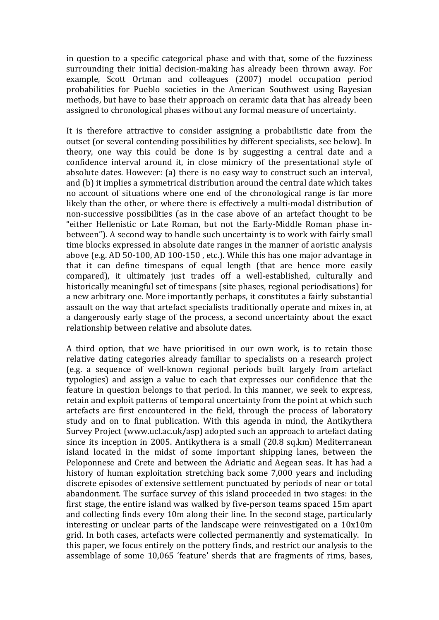in question to a specific categorical phase and with that, some of the fuzziness surrounding their initial decision-making has already been thrown away. For example, Scott Ortman and colleagues (2007) model occupation period probabilities for Pueblo societies in the American Southwest using Bayesian methods, but have to base their approach on ceramic data that has already been assigned to chronological phases without any formal measure of uncertainty.

It is therefore attractive to consider assigning a probabilistic date from the outset (or several contending possibilities by different specialists, see below). In theory, one way this could be done is by suggesting a central date and a confidence interval around it, in close mimicry of the presentational style of absolute dates. However: (a) there is no easy way to construct such an interval, and (b) it implies a symmetrical distribution around the central date which takes no account of situations where one end of the chronological range is far more likely than the other, or where there is effectively a multi-modal distribution of non-successive possibilities (as in the case above of an artefact thought to be "either Hellenistic or Late Roman, but not the Early-Middle Roman phase inbetween"). A second way to handle such uncertainty is to work with fairly small time blocks expressed in absolute date ranges in the manner of aoristic analysis above (e.g. AD 50-100, AD 100-150, etc.). While this has one major advantage in that it can define timespans of equal length (that are hence more easily compared), it ultimately just trades off a well-established, culturally and historically meaningful set of timespans (site phases, regional periodisations) for a new arbitrary one. More importantly perhaps, it constitutes a fairly substantial assault on the way that artefact specialists traditionally operate and mixes in, at a dangerously early stage of the process, a second uncertainty about the exact relationship between relative and absolute dates.

A third option, that we have prioritised in our own work, is to retain those relative dating categories already familiar to specialists on a research project  $f$ e.g. a sequence of well-known regional periods built largely from artefact typologies) and assign a value to each that expresses our confidence that the feature in question belongs to that period. In this manner, we seek to express, retain and exploit patterns of temporal uncertainty from the point at which such artefacts are first encountered in the field, through the process of laboratory study and on to final publication. With this agenda in mind, the Antikythera Survey Project (www.ucl.ac.uk/asp) adopted such an approach to artefact dating since its inception in 2005. Antikythera is a small (20.8 sq.km) Mediterranean island located in the midst of some important shipping lanes, between the Peloponnese and Crete and between the Adriatic and Aegean seas. It has had a history of human exploitation stretching back some 7,000 years and including discrete episodes of extensive settlement punctuated by periods of near or total abandonment. The surface survey of this island proceeded in two stages: in the first stage, the entire island was walked by five-person teams spaced 15m apart and collecting finds every 10m along their line. In the second stage, particularly interesting or unclear parts of the landscape were reinvestigated on a 10x10m grid. In both cases, artefacts were collected permanently and systematically. In this paper, we focus entirely on the pottery finds, and restrict our analysis to the assemblage of some 10,065 'feature' sherds that are fragments of rims, bases,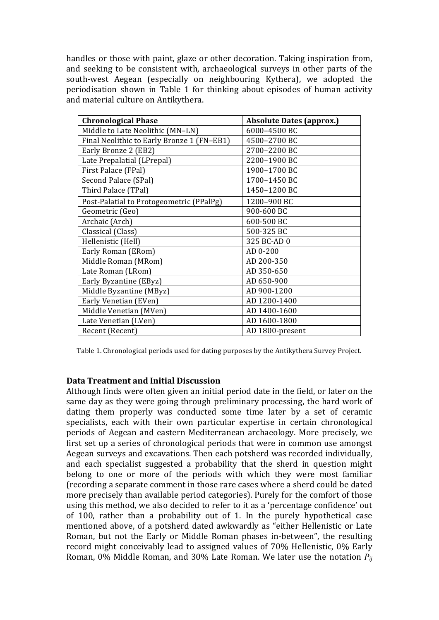handles or those with paint, glaze or other decoration. Taking inspiration from, and seeking to be consistent with, archaeological surveys in other parts of the south-west Aegean (especially on neighbouring Kythera), we adopted the periodisation shown in Table 1 for thinking about episodes of human activity and material culture on Antikythera.

| <b>Chronological Phase</b>                 | <b>Absolute Dates (approx.)</b> |  |  |
|--------------------------------------------|---------------------------------|--|--|
| Middle to Late Neolithic (MN-LN)           | 6000-4500 BC                    |  |  |
| Final Neolithic to Early Bronze 1 (FN-EB1) | 4500-2700 BC                    |  |  |
| Early Bronze 2 (EB2)                       | 2700-2200 BC                    |  |  |
| Late Prepalatial (LPrepal)                 | 2200-1900 BC                    |  |  |
| First Palace (FPal)                        | 1900-1700 BC                    |  |  |
| Second Palace (SPal)                       | 1700-1450 BC                    |  |  |
| Third Palace (TPal)                        | 1450-1200 BC                    |  |  |
| Post-Palatial to Protogeometric (PPalPg)   | 1200-900 BC                     |  |  |
| Geometric (Geo)                            | 900-600 BC                      |  |  |
| Archaic (Arch)                             | 600-500 BC                      |  |  |
| Classical (Class)                          | 500-325 BC                      |  |  |
| Hellenistic (Hell)                         | 325 BC-AD 0                     |  |  |
| Early Roman (ERom)                         | AD 0-200                        |  |  |
| Middle Roman (MRom)                        | AD 200-350                      |  |  |
| Late Roman (LRom)                          | AD 350-650                      |  |  |
| Early Byzantine (EByz)                     | AD 650-900                      |  |  |
| Middle Byzantine (MByz)                    | AD 900-1200                     |  |  |
| Early Venetian (EVen)                      | AD 1200-1400                    |  |  |
| Middle Venetian (MVen)                     | AD 1400-1600                    |  |  |
| Late Venetian (LVen)                       | AD 1600-1800                    |  |  |
| Recent (Recent)                            | AD 1800-present                 |  |  |

Table 1. Chronological periods used for dating purposes by the Antikythera Survey Project.

### **Data\*Treatment\*and\*Initial\*Discussion**

Although finds were often given an initial period date in the field, or later on the same day as they were going through preliminary processing, the hard work of dating them properly was conducted some time later by a set of ceramic specialists, each with their own particular expertise in certain chronological periods' of' Aegean' and' eastern'Mediterranean' archaeology.'More' precisely,' we' first set up a series of chronological periods that were in common use amongst Aegean surveys and excavations. Then each potsherd was recorded individually, and each specialist suggested a probability that the sherd in question might belong to one or more of the periods with which they were most familiar (recording a separate comment in those rare cases where a sherd could be dated more precisely than available period categories). Purely for the comfort of those using this method, we also decided to refer to it as a 'percentage confidence' out of 100, rather than a probability out of 1. In the purely hypothetical case mentioned above, of a potsherd dated awkwardly as "either Hellenistic or Late Roman, but not the Early or Middle Roman phases in-between", the resulting record might conceivably lead to assigned values of 70% Hellenistic, 0% Early Roman, 0% Middle Roman, and 30% Late Roman. We later use the notation  $P_{ij}$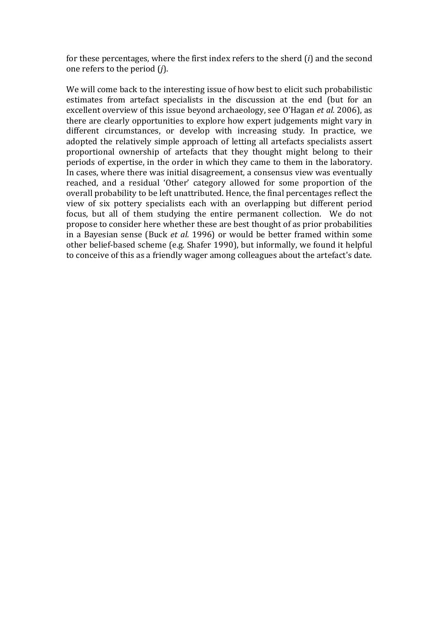for these percentages, where the first index refers to the sherd (*i*) and the second one refers to the period (*j*).

We will come back to the interesting issue of how best to elicit such probabilistic estimates from artefact specialists in the discussion at the end (but for an excellent overview of this issue beyond archaeology, see O'Hagan *et al.* 2006), as there are clearly opportunities to explore how expert judgements might vary in different circumstances, or develop with increasing study. In practice, we adopted the relatively simple approach of letting all artefacts specialists assert proportional ownership of artefacts that they thought might belong to their periods of expertise, in the order in which they came to them in the laboratory. In cases, where there was initial disagreement, a consensus view was eventually reached, and a residual 'Other' category allowed for some proportion of the overall probability to be left unattributed. Hence, the final percentages reflect the view of six pottery specialists each with an overlapping but different period focus, but all of them studying the entire permanent collection. We do not propose to consider here whether these are best thought of as prior probabilities in a Bayesian sense (Buck *et al.* 1996) or would be better framed within some other belief-based scheme (e.g. Shafer 1990), but informally, we found it helpful to conceive of this as a friendly wager among colleagues about the artefact's date.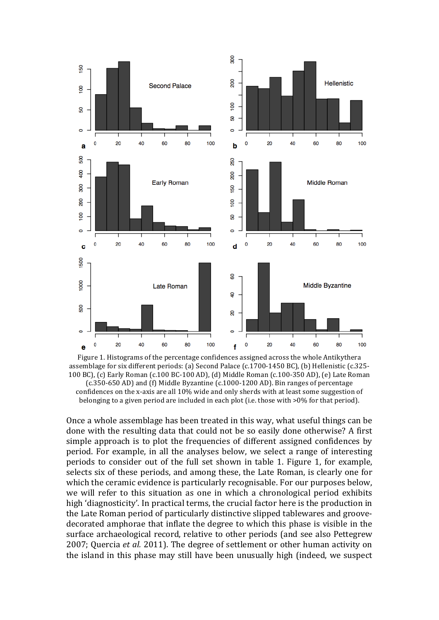

Figure 1. Histograms of the percentage confidences assigned across the whole Antikythera assemblage for six different periods: (a) Second Palace (c.1700-1450 BC), (b) Hellenistic (c.325-100'BC), (c) Early Roman (c.100'BC-100'AD), (d) Middle Roman (c.100-350 AD), (e) Late Roman  $(c.350-650$  AD) and  $(f)$  Middle Byzantine  $(c.1000-1200$  AD). Bin ranges of percentage confidences on the x-axis are all 10% wide and only sherds with at least some suggestion of belonging to a given period are included in each plot (i.e. those with  $>0\%$  for that period).

Once a whole assemblage has been treated in this way, what useful things can be done with the resulting data that could not be so easily done otherwise? A first simple approach is to plot the frequencies of different assigned confidences by period. For example, in all the analyses below, we select a range of interesting periods to consider out of the full set shown in table 1. Figure 1, for example, selects six of these periods, and among these, the Late Roman, is clearly one for which the ceramic evidence is particularly recognisable. For our purposes below, we will refer to this situation as one in which a chronological period exhibits high 'diagnosticity'. In practical terms, the crucial factor here is the production in the Late Roman period of particularly distinctive slipped tablewares and groovedecorated amphorae that inflate the degree to which this phase is visible in the surface archaeological record, relative to other periods (and see also Pettegrew 2007; Quercia *et al.* 2011). The degree of settlement or other human activity on the island in this phase may still have been unusually high (indeed, we suspect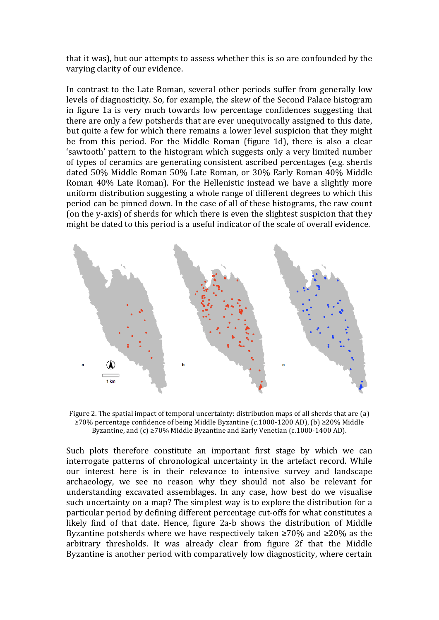that it was), but our attempts to assess whether this is so are confounded by the varying clarity of our evidence.

In contrast to the Late Roman, several other periods suffer from generally low levels of diagnosticity. So, for example, the skew of the Second Palace histogram in figure 1a is very much towards low percentage confidences suggesting that there are only a few potsherds that are ever unequivocally assigned to this date, but quite a few for which there remains a lower level suspicion that they might be from this period. For the Middle Roman (figure 1d), there is also a clear 'sawtooth' pattern to the histogram which suggests only a very limited number of types of ceramics are generating consistent ascribed percentages (e.g. sherds) dated 50% Middle Roman 50% Late Roman, or 30% Early Roman 40% Middle Roman 40% Late Roman). For the Hellenistic instead we have a slightly more uniform distribution suggesting a whole range of different degrees to which this period can be pinned down. In the case of all of these histograms, the raw count (on the y-axis) of sherds for which there is even the slightest suspicion that they might be dated to this period is a useful indicator of the scale of overall evidence.



Figure 2. The spatial impact of temporal uncertainty: distribution maps of all sherds that are (a) ≥70% percentage confidence of being Middle Byzantine (c.1000-1200 AD), (b) ≥20% Middle Byzantine, and  $(c) \ge 70\%$  Middle Byzantine and Early Venetian  $(c.1000-1400$  AD).

Such plots therefore constitute an important first stage by which we can interrogate patterns of chronological uncertainty in the artefact record. While our interest here is in their relevance to intensive survey and landscape archaeology, we see no reason why they should not also be relevant for understanding excavated assemblages. In any case, how best do we visualise such uncertainty on a map? The simplest way is to explore the distribution for a particular period by defining different percentage cut-offs for what constitutes a likely find of that date. Hence, figure 2a-b shows the distribution of Middle Byzantine potsherds where we have respectively taken ≥70% and ≥20% as the arbitrary thresholds. It was already clear from figure 2f that the Middle Byzantine is another period with comparatively low diagnosticity, where certain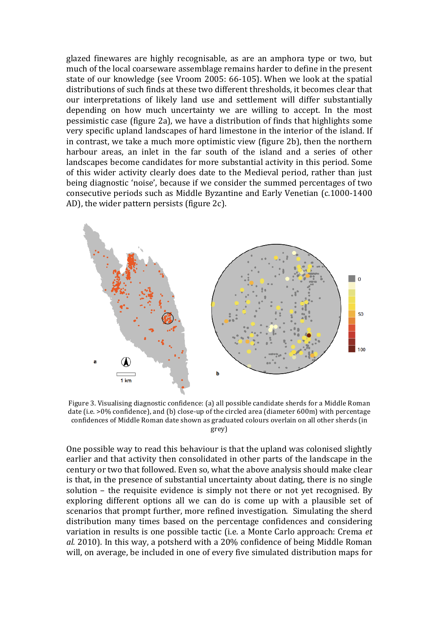glazed finewares are highly recognisable, as are an amphora type or two, but much of the local coarseware assemblage remains harder to define in the present state of our knowledge (see Vroom 2005: 66-105). When we look at the spatial distributions of such finds at these two different thresholds, it becomes clear that our interpretations of likely land use and settlement will differ substantially depending on how much uncertainty we are willing to accept. In the most pessimistic case (figure 2a), we have a distribution of finds that highlights some very specific upland landscapes of hard limestone in the interior of the island. If in contrast, we take a much more optimistic view (figure 2b), then the northern harbour areas, an inlet in the far south of the island and a series of other landscapes become candidates for more substantial activity in this period. Some of this wider activity clearly does date to the Medieval period, rather than just being diagnostic 'noise', because if we consider the summed percentages of two consecutive periods such as Middle Byzantine and Early Venetian (c.1000-1400) AD), the wider pattern persists (figure  $2c$ ).



Figure 3. Visualising diagnostic confidence: (a) all possible candidate sherds for a Middle Roman date (i.e.  $>0\%$  confidence), and (b) close-up of the circled area (diameter 600m) with percentage confidences of Middle Roman date shown as graduated colours overlain on all other sherds (in grey)

One possible way to read this behaviour is that the upland was colonised slightly earlier and that activity then consolidated in other parts of the landscape in the century or two that followed. Even so, what the above analysis should make clear is that, in the presence of substantial uncertainty about dating, there is no single solution – the requisite evidence is simply not there or not yet recognised. By exploring different options all we can do is come up with a plausible set of scenarios that prompt further, more refined investigation. Simulating the sherd distribution many times based on the percentage confidences and considering variation in results is one possible tactic (i.e. a Monte Carlo approach: Crema *et* al. 2010). In this way, a potsherd with a 20% confidence of being Middle Roman will, on average, be included in one of every five simulated distribution maps for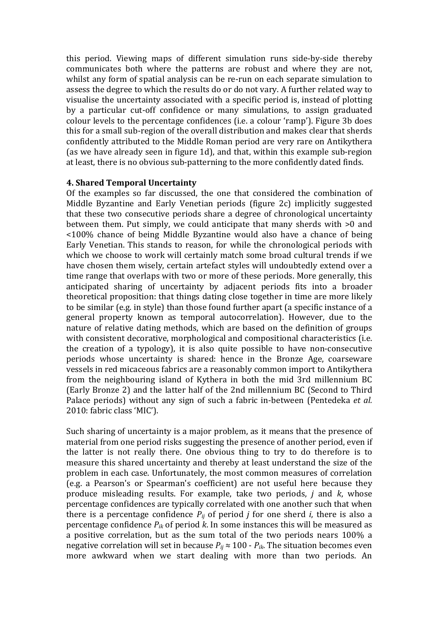this period. Viewing maps of different simulation runs side-by-side thereby communicates both where the patterns are robust and where they are not, whilst any form of spatial analysis can be re-run on each separate simulation to assess the degree to which the results do or do not vary. A further related way to visualise the uncertainty associated with a specific period is, instead of plotting by a particular cut-off confidence or many simulations, to assign graduated colour levels to the percentage confidences (i.e. a colour 'ramp'). Figure 3b does this for a small sub-region of the overall distribution and makes clear that sherds confidently attributed to the Middle Roman period are very rare on Antikythera (as we have already seen in figure  $1d$ ), and that, within this example sub-region at least, there is no obvious sub-patterning to the more confidently dated finds.

# **4. Shared Temporal Uncertainty**

Of the examples so far discussed, the one that considered the combination of Middle Byzantine and Early Venetian periods (figure 2c) implicitly suggested that these two consecutive periods share a degree of chronological uncertainty between them. Put simply, we could anticipate that many sherds with >0 and  $\leq$ 100% chance of being Middle Byzantine would also have a chance of being Early Venetian. This stands to reason, for while the chronological periods with which we choose to work will certainly match some broad cultural trends if we have chosen them wisely, certain artefact styles will undoubtedly extend over a time range that overlaps with two or more of these periods. More generally, this anticipated sharing of uncertainty by adjacent periods fits into a broader theoretical proposition: that things dating close together in time are more likely to be similar (e.g. in style) than those found further apart (a specific instance of a general property known as temporal autocorrelation). However, due to the nature of relative dating methods, which are based on the definition of groups with consistent decorative, morphological and compositional characteristics (i.e. the creation of a typology), it is also quite possible to have non-consecutive periods whose uncertainty is shared: hence in the Bronze Age, coarseware vessels in red micaceous fabrics are a reasonably common import to Antikythera from the neighbouring island of Kythera in both the mid 3rd millennium BC (Early Bronze 2) and the latter half of the 2nd millennium BC (Second to Third Palace periods) without any sign of such a fabric in-between (Pentedeka *et al.*) 2010: fabric class 'MIC').

Such sharing of uncertainty is a major problem, as it means that the presence of material from one period risks suggesting the presence of another period, even if the latter is not really there. One obvious thing to try to do therefore is to measure this shared uncertainty and thereby at least understand the size of the problem in each case. Unfortunately, the most common measures of correlation (e.g. a Pearson's or Spearman's coefficient) are not useful here because they produce misleading results. For example, take two periods, *j* and *k*, whose percentage confidences are typically correlated with one another such that when there is a percentage confidence  $P_{ij}$  of period *j* for one sherd *i*, there is also a percentage confidence  $P_{ik}$  of period  $k$ . In some instances this will be measured as a positive correlation, but as the sum total of the two periods nears 100% a negative correlation will set in because  $P_{ij} \approx 100 \cdot P_{ik}$ . The situation becomes even more awkward when we start dealing with more than two periods. An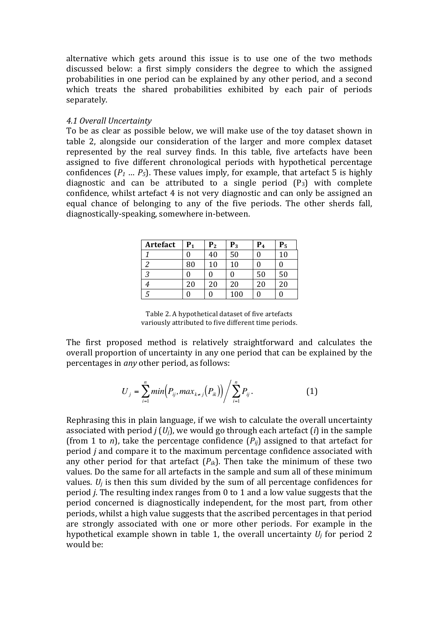alternative which gets around this issue is to use one of the two methods discussed below: a first simply considers the degree to which the assigned probabilities in one period can be explained by any other period, and a second which treats the shared probabilities exhibited by each pair of periods separately.

#### *4.1+Overall+Uncertainty*

To be as clear as possible below, we will make use of the toy dataset shown in table 2, alongside our consideration of the larger and more complex dataset represented by the real survey finds. In this table, five artefacts have been assigned to five different chronological periods with hypothetical percentage confidences  $(P_1 \ldots P_5)$ . These values imply, for example, that artefact 5 is highly diagnostic and can be attributed to a single period  $(P_3)$  with complete confidence, whilst artefact 4 is not very diagnostic and can only be assigned an equal chance of belonging to any of the five periods. The other sherds fall, diagnostically-speaking, somewhere in-between.

| <b>Artefact</b> | $P_1$ | P <sub>2</sub> | $P_3$ | $P_{4}$ | P <sub>5</sub> |
|-----------------|-------|----------------|-------|---------|----------------|
|                 |       | 40             | 50    |         | 10             |
|                 | 80    | 10             | 10    |         |                |
| 3               |       |                |       | 50      | 50             |
|                 | 20    | 20             | 20    | 20      | 20             |
|                 |       |                | 100   |         |                |

Table 2. A hypothetical dataset of five artefacts variously attributed to five different time periods.

The first proposed method is relatively straightforward and calculates the overall proportion of uncertainty in any one period that can be explained by the percentages in *any* other period, as follows:

$$
U_j = \sum_{i=1}^n min(P_{ij}, max_{k \neq j}(P_{ik})) / \sum_{i=1}^n P_{ij}.
$$
 (1)

(from 1 to *n*), take the percentage confidence  $(P_{ij})$  assigned to that artefact for Rephrasing this in plain language, if we wish to calculate the overall uncertainty associated with period *j*( $U_i$ ), we would go through each artefact (*i*) in the sample period *j* and compare it to the maximum percentage confidence associated with any other period for that artefact  $(P_{ik})$ . Then take the minimum of these two values. Do the same for all artefacts in the sample and sum all of these minimum values.  $U_i$  is then this sum divided by the sum of all percentage confidences for period *j*. The resulting index ranges from 0 to 1 and a low value suggests that the period concerned is diagnostically independent, for the most part, from other periods, whilst a high value suggests that the ascribed percentages in that period are strongly associated with one or more other periods. For example in the hypothetical example shown in table 1, the overall uncertainty  $U_i$  for period 2 would be: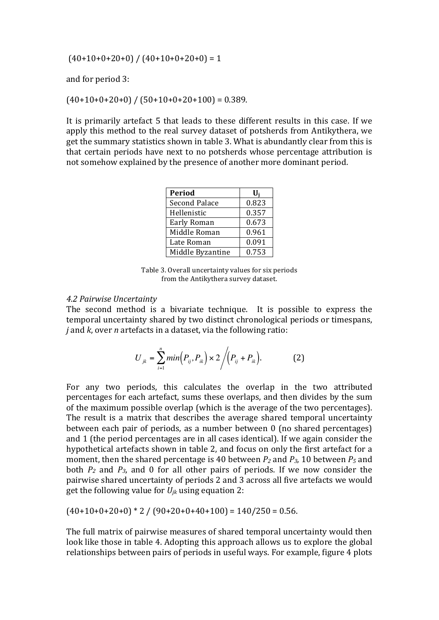$(40+10+0+20+0)/(40+10+0+20+0)=1$ 

and for period 3:

 $(40+10+0+20+0)/(50+10+0+20+100) = 0.389.$ 

It is primarily artefact 5 that leads to these different results in this case. If we apply this method to the real survey dataset of potsherds from Antikythera, we get the summary statistics shown in table 3. What is abundantly clear from this is that certain periods have next to no potsherds whose percentage attribution is not somehow explained by the presence of another more dominant period.

| <b>Period</b>        | $\mathbf{U}_\mathbf{i}$ |  |
|----------------------|-------------------------|--|
| <b>Second Palace</b> | 0.823                   |  |
| Hellenistic          | 0.357                   |  |
| Early Roman          | 0.673                   |  |
| Middle Roman         | 0.961                   |  |
| Late Roman           | 0.091                   |  |
| Middle Byzantine     | 0.753                   |  |

Table 3. Overall uncertainty values for six periods from the Antikythera survey dataset.

### *4.2+Pairwise+Uncertainty*

The second method is a bivariate technique. It is possible to express the temporal uncertainty shared by two distinct chronological periods or timespans, *j* and *k*, over *n* artefacts in a dataset, via the following ratio:

$$
U_{jk} = \sum_{i=1}^{n} \min\Bigl(P_{ij}, P_{ik}\Bigr) \times 2 / \Bigl(P_{ij} + P_{ik}\Bigr). \tag{2}
$$

friently containt the maximum possible overlap (which is the average of the two percentages). For any two periods, this calculates the overlap in the two attributed percentages for each artefact, sums these overlaps, and then divides by the sum The result is a matrix that describes the average shared temporal uncertainty between each pair of periods, as a number between 0 (no shared percentages) and 1 (the period percentages are in all cases identical). If we again consider the hypothetical artefacts shown in table 2, and focus on only the first artefact for a moment, then the shared percentage is 40 between  $P_2$  and  $P_3$ , 10 between  $P_5$  and both  $P_2$  and  $P_3$ , and 0 for all other pairs of periods. If we now consider the pairwise shared uncertainty of periods 2 and 3 across all five artefacts we would get the following value for  $U_{ik}$  using equation 2:

$$
(40+10+0+20+0)*2/(90+20+0+40+100) = 140/250 = 0.56.
$$

The full matrix of pairwise measures of shared temporal uncertainty would then look like those in table 4. Adopting this approach allows us to explore the global relationships between pairs of periods in useful ways. For example, figure 4 plots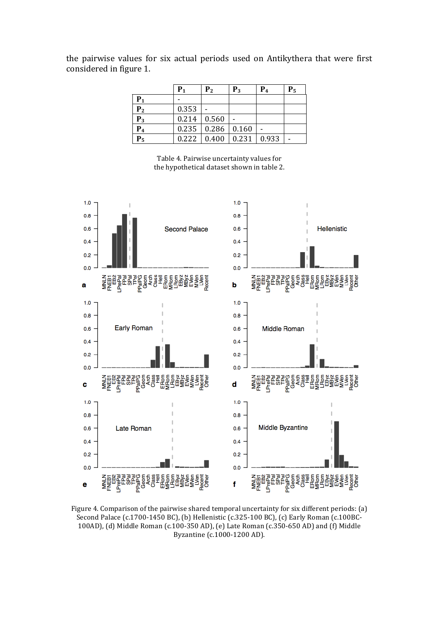the pairwise values for six actual periods used on Antikythera that were first considered in figure 1.

|                | P <sub>1</sub> | P <sub>2</sub>                | $P_3$ | P <sub>4</sub> | P <sub>5</sub> |
|----------------|----------------|-------------------------------|-------|----------------|----------------|
| $P_1$          |                |                               |       |                |                |
| P <sub>2</sub> | 0.353          |                               |       |                |                |
| P <sub>3</sub> | 0.214          | 0.560                         |       |                |                |
| P <sub>4</sub> |                | $0.235 \mid 0.286 \mid 0.160$ |       |                |                |
| P <sub>5</sub> | 0.222          | $0.400$ 0.231                 |       | 0.933          |                |

Table 4. Pairwise uncertainty values for the hypothetical dataset shown in table 2.



Figure 4. Comparison of the pairwise shared temporal uncertainty for six different periods: (a) Second Palace (c.1700-1450 BC), (b) Hellenistic (c.325-100 BC), (c) Early Roman (c.100BC-100AD), (d) Middle Roman (c.100-350 AD), (e) Late Roman (c.350-650 AD) and (f) Middle Byzantine (c.1000-1200 AD).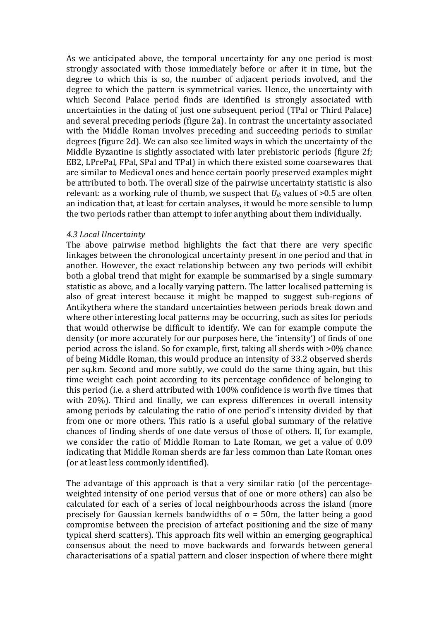As we anticipated above, the temporal uncertainty for any one period is most strongly associated with those immediately before or after it in time, but the degree to which this is so, the number of adjacent periods involved, and the degree to which the pattern is symmetrical varies. Hence, the uncertainty with which Second Palace period finds are identified is strongly associated with uncertainties in the dating of just one subsequent period (TPal or Third Palace) and several preceding periods (figure 2a). In contrast the uncertainty associated with the Middle Roman involves preceding and succeeding periods to similar degrees (figure 2d). We can also see limited ways in which the uncertainty of the Middle Byzantine is slightly associated with later prehistoric periods (figure 2f; EB2, LPrePal, FPal, SPal and TPal) in which there existed some coarsewares that are similar to Medieval ones and hence certain poorly preserved examples might be attributed to both. The overall size of the pairwise uncertainty statistic is also relevant: as a working rule of thumb, we suspect that  $U_{ik}$  values of >0.5 are often an indication that, at least for certain analyses, it would be more sensible to lump the two periods rather than attempt to infer anything about them individually.

### *4.3+Local+Uncertainty*

The above pairwise method highlights the fact that there are very specific linkages between the chronological uncertainty present in one period and that in another. However, the exact relationship between any two periods will exhibit both a global trend that might for example be summarised by a single summary statistic as above, and a locally varying pattern. The latter localised patterning is also of great interest because it might be mapped to suggest sub-regions of Antikythera where the standard uncertainties between periods break down and where other interesting local patterns may be occurring, such as sites for periods that would otherwise be difficult to identify. We can for example compute the density (or more accurately for our purposes here, the 'intensity') of finds of one period across the island. So for example, first, taking all sherds with >0% chance' of being Middle Roman, this would produce an intensity of 33.2 observed sherds per sq.km. Second and more subtly, we could do the same thing again, but this time weight each point according to its percentage confidence of belonging to this period (i.e. a sherd attributed with 100% confidence is worth five times that with 20%). Third and finally, we can express differences in overall intensity among periods by calculating the ratio of one period's intensity divided by that from one or more others. This ratio is a useful global summary of the relative chances of finding sherds of one date versus of those of others. If, for example, we consider the ratio of Middle Roman to Late Roman, we get a value of 0.09 indicating that Middle Roman sherds are far less common than Late Roman ones (or at least less commonly identified).

The advantage of this approach is that a very similar ratio (of the percentageweighted intensity of one period versus that of one or more others) can also be calculated for each of a series of local neighbourhoods across the island (more precisely for Gaussian kernels bandwidths of  $\sigma = 50$ m, the latter being a good compromise between the precision of artefact positioning and the size of many typical sherd scatters). This approach fits well within an emerging geographical consensus' about' the' need' to' move' backwards' and' forwards' between' general' characterisations of a spatial pattern and closer inspection of where there might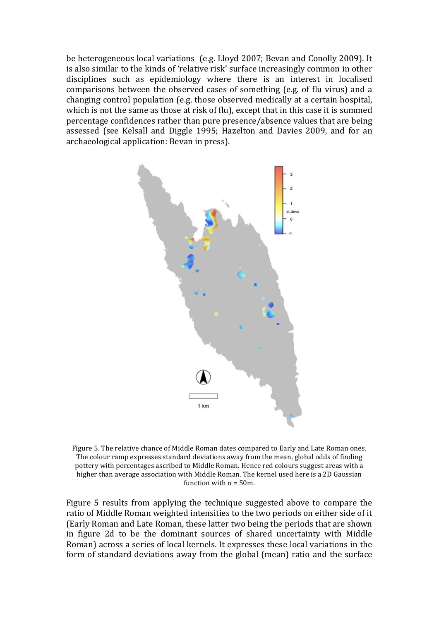be heterogeneous local variations (e.g. Lloyd 2007; Bevan and Conolly 2009). It is also similar to the kinds of 'relative risk' surface increasingly common in other disciplines such as epidemiology where there is an interest in localised comparisons between the observed cases of something (e.g. of flu virus) and a changing control population (e.g. those observed medically at a certain hospital, which is not the same as those at risk of flu), except that in this case it is summed percentage confidences rather than pure presence/absence values that are being assessed (see Kelsall and Diggle 1995; Hazelton and Davies 2009, and for an archaeological application: Bevan in press).



Figure 5. The relative chance of Middle Roman dates compared to Early and Late Roman ones. The colour ramp expresses standard deviations away from the mean, global odds of finding pottery with percentages ascribed to Middle Roman. Hence red colours suggest areas with a higher than average association with Middle Roman. The kernel used here is a 2D Gaussian function with  $\sigma$  = 50m.

Figure 5 results from applying the technique suggested above to compare the ratio of Middle Roman weighted intensities to the two periods on either side of it (Early Roman and Late Roman, these latter two being the periods that are shown' in figure 2d to be the dominant sources of shared uncertainty with Middle Roman) across a series of local kernels. It expresses these local variations in the form of standard deviations away from the global (mean) ratio and the surface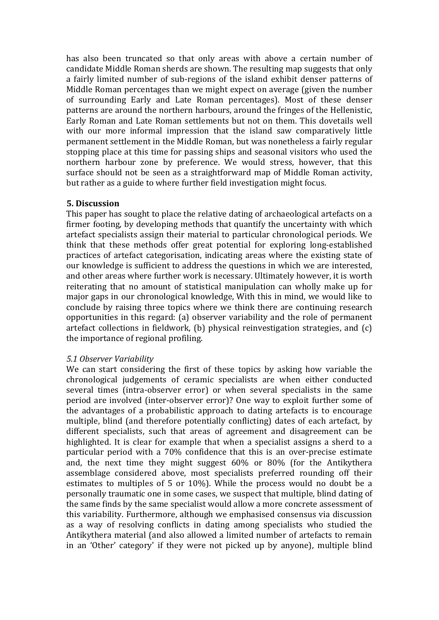has also been truncated so that only areas with above a certain number of candidate Middle Roman sherds are shown. The resulting map suggests that only a fairly limited number of sub-regions of the island exhibit denser patterns of Middle Roman percentages than we might expect on average (given the number' of surrounding Early and Late Roman percentages). Most of these denser patterns are around the northern harbours, around the fringes of the Hellenistic, Early Roman and Late Roman settlements but not on them. This dovetails well with our more informal impression that the island saw comparatively little permanent settlement in the Middle Roman, but was nonetheless a fairly regular stopping place at this time for passing ships and seasonal visitors who used the northern harbour zone by preference. We would stress, however, that this surface should not be seen as a straightforward map of Middle Roman activity, but rather as a guide to where further field investigation might focus.

# **5.\*Discussion**

This paper has sought to place the relative dating of archaeological artefacts on a firmer footing, by developing methods that quantify the uncertainty with which artefact specialists assign their material to particular chronological periods. We think that these methods offer great potential for exploring long-established practices' of'artefact' categorisation,'indicating'areas'where' the'existing' state' of' our knowledge is sufficient to address the questions in which we are interested, and other areas where further work is necessary. Ultimately however, it is worth reiterating that no amount of statistical manipulation can wholly make up for major gaps in our chronological knowledge, With this in mind, we would like to conclude by raising three topics where we think there are continuing research opportunities in this regard: (a) observer variability and the role of permanent artefact collections in fieldwork,  $(b)$  physical reinvestigation strategies, and  $(c)$ the importance of regional profiling.

### *5.1+Observer+Variability*

We can start considering the first of these topics by asking how variable the chronological' judgements' of' ceramic' specialists' are' when' either' conducted' several times (intra-observer error) or when several specialists in the same period are involved (inter-observer error)? One way to exploit further some of the advantages of a probabilistic approach to dating artefacts is to encourage multiple, blind (and therefore potentially conflicting) dates of each artefact, by different specialists, such that areas of agreement and disagreement can be highlighted. It is clear for example that when a specialist assigns a sherd to a particular period with a 70% confidence that this is an over-precise estimate and, the next time they might suggest 60% or 80% (for the Antikythera' assemblage' considered' above,' most' specialists' preferred' rounding' off' their' estimates to multiples of  $5$  or  $10\%$ ). While the process would no doubt be a personally traumatic one in some cases, we suspect that multiple, blind dating of the same finds by the same specialist would allow a more concrete assessment of this variability. Furthermore, although we emphasised consensus via discussion as a way of resolving conflicts in dating among specialists who studied the Antikythera material (and also allowed a limited number of artefacts to remain in an 'Other' category' if they were not picked up by anyone), multiple blind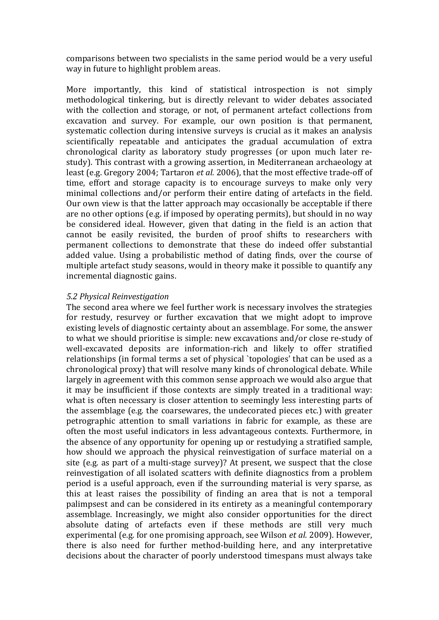comparisons between two specialists in the same period would be a very useful way in future to highlight problem areas.

More importantly, this kind of statistical introspection is not simply methodological tinkering, but is directly relevant to wider debates associated with the collection and storage, or not, of permanent artefact collections from excavation and survey. For example, our own position is that permanent, systematic collection during intensive surveys is crucial as it makes an analysis scientifically repeatable and anticipates the gradual accumulation of extra chronological clarity as laboratory study progresses (or upon much later restudy). This contrast with a growing assertion, in Mediterranean archaeology at least (e.g. Gregory 2004; Tartaron *et al.* 2006), that the most effective trade-off of time, effort and storage capacity is to encourage surveys to make only very minimal collections and/or perform their entire dating of artefacts in the field. Our own view is that the latter approach may occasionally be acceptable if there are no other options (e.g. if imposed by operating permits), but should in no way be considered ideal. However, given that dating in the field is an action that cannot be easily revisited, the burden of proof shifts to researchers with permanent' collections' to' demonstrate' that' these' do' indeed' offer' substantial' added value. Using a probabilistic method of dating finds, over the course of multiple artefact study seasons, would in theory make it possible to quantify any incremental diagnostic gains.

# *5.2+Physical+Reinvestigation*

The second area where we feel further work is necessary involves the strategies for restudy, resurvey or further excavation that we might adopt to improve existing levels of diagnostic certainty about an assemblage. For some, the answer' to what we should prioritise is simple: new excavations and/or close re-study of well-excavated deposits are information-rich and likely to offer stratified relationships' (in formal terms a set of physical 'topologies' that can be used as a chronological'proxy)'that'will'resolve'many'kinds'of'chronological'debate.'While' largely in agreement with this common sense approach we would also argue that it may be insufficient if those contexts are simply treated in a traditional way: what is often necessary is closer attention to seemingly less interesting parts of the assemblage (e.g. the coarsewares, the undecorated pieces etc.) with greater petrographic attention to small variations in fabric for example, as these are often the most useful indicators in less advantageous contexts. Furthermore, in the absence of any opportunity for opening up or restudying a stratified sample. how should we approach the physical reinvestigation of surface material on a site (e.g. as part of a multi-stage survey)? At present, we suspect that the close reinvestigation of all isolated scatters with definite diagnostics from a problem period is a useful approach, even if the surrounding material is very sparse, as this at least raises the possibility of finding an area that is not a temporal palimpsest and can be considered in its entirety as a meaningful contemporary assemblage. Increasingly, we might also consider opportunities for the direct absolute dating of artefacts even if these methods are still very much experimental (e.g. for one promising approach, see Wilson *et al.* 2009). However, there is also need for further method-building here, and any interpretative decisions about the character of poorly understood timespans must always take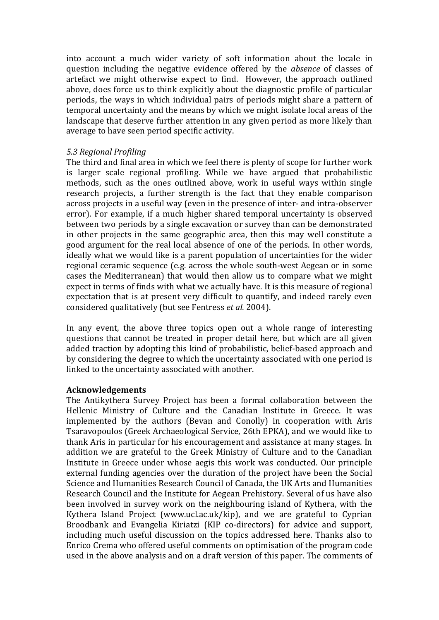into account a much wider variety of soft information about the locale in question including the negative evidence offered by the *absence* of classes of artefact we might otherwise expect to find. However, the approach outlined above, does force us to think explicitly about the diagnostic profile of particular periods, the ways in which individual pairs of periods might share a pattern of temporal uncertainty and the means by which we might isolate local areas of the landscape that deserve further attention in any given period as more likely than average to have seen period specific activity.

### *5.3 Regional+Profiling*

The third and final area in which we feel there is plenty of scope for further work is larger scale regional profiling. While we have argued that probabilistic methods, such as the ones outlined above, work in useful ways within single research projects, a further strength is the fact that they enable comparison across projects in a useful way (even in the presence of inter- and intra-observer error). For example, if a much higher shared temporal uncertainty is observed between two periods by a single excavation or survey than can be demonstrated in other projects in the same geographic area, then this may well constitute a good argument for the real local absence of one of the periods. In other words, ideally what we would like is a parent population of uncertainties for the wider regional ceramic sequence (e.g. across the whole south-west Aegean or in some) cases the Mediterranean) that would then allow us to compare what we might expect in terms of finds with what we actually have. It is this measure of regional expectation that is at present very difficult to quantify, and indeed rarely even considered qualitatively (but see Fentress *et al.* 2004).

In any event, the above three topics open out a whole range of interesting questions that cannot be treated in proper detail here, but which are all given added traction by adopting this kind of probabilistic, belief-based approach and by considering the degree to which the uncertainty associated with one period is linked to the uncertainty associated with another.

### **Acknowledgements**

The Antikythera Survey Project has been a formal collaboration between the Hellenic Ministry of Culture and the Canadian Institute in Greece. It was implemented by the authors (Bevan and Conolly) in cooperation with Aris Tsaravopoulos (Greek Archaeological Service, 26th EPKA), and we would like to thank Aris in particular for his encouragement and assistance at many stages. In addition we are grateful to the Greek Ministry of Culture and to the Canadian Institute in Greece under whose aegis this work was conducted. Our principle external funding agencies over the duration of the project have been the Social Science and Humanities Research Council of Canada, the UK Arts and Humanities Research Council and the Institute for Aegean Prehistory. Several of us have also been involved in survey work on the neighbouring island of Kythera, with the Kythera Island Project (www.ucl.ac.uk/kip), and we are grateful to Cyprian Broodbank and Evangelia Kiriatzi (KIP co-directors) for advice and support, including much useful discussion on the topics addressed here. Thanks also to Enrico Crema who offered useful comments on optimisation of the program code used in the above analysis and on a draft version of this paper. The comments of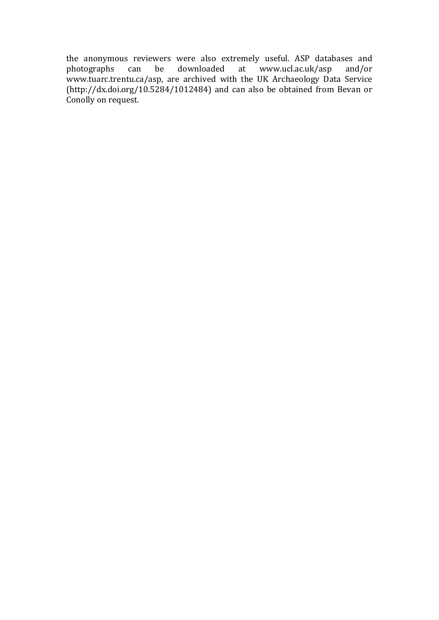the anonymous reviewers were also extremely useful. ASP databases and photographs' can' be' downloaded' at' www.ucl.ac.uk/asp' and/or' www.tuarc.trentu.ca/asp, are archived with the UK Archaeology Data Service (http://dx.doi.org/10.5284/1012484) and can also be obtained from Bevan or Conolly on request.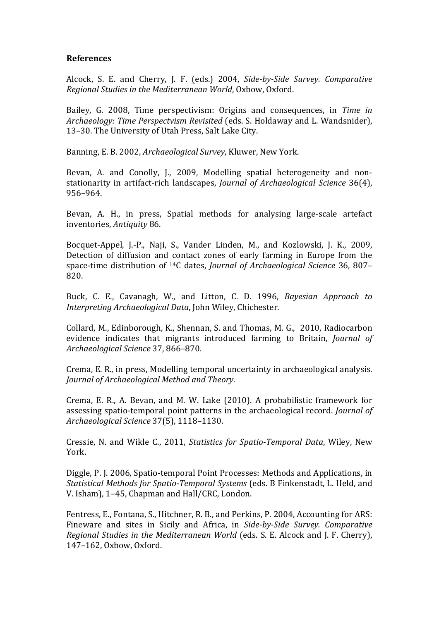## **References**

Alcock, S. E. and Cherry, J. F. (eds.) 2004, *Side-by-Side Survey. Comparative Regional+Studies+in+the+Mediterranean+World*,'Oxbow,'Oxford.

Bailey, G. 2008, Time perspectivism: Origins and consequences, in *Time in Archaeology: Time+Perspectvism+Revisited*'(eds.'S.'Holdaway'and'L.'Wandsnider),' 13-30. The University of Utah Press, Salt Lake City.

Banning, E. B. 2002, *Archaeological Survey*, Kluwer, New York.

Bevan, A. and Conolly, J., 2009, Modelling spatial heterogeneity and nonstationarity in artifact-rich landscapes, *Journal of Archaeological Science* 36(4), 956–964.

Bevan, A. H., in press, Spatial methods for analysing large-scale artefact inventories,'*Antiquity* 86.

Bocquet-Appel, J.-P., Naji, S., Vander Linden, M., and Kozlowski, J. K., 2009, Detection of diffusion and contact zones of early farming in Europe from the space-time distribution of <sup>14</sup>C dates, *Journal of Archaeological Science* 36, 807– 820.

Buck, C. E., Cavanagh, W., and Litton, C. D. 1996, *Bayesian Approach to Interpreting Archaeological Data*, John Wiley, Chichester.

Collard, M., Edinborough, K., Shennan, S. and Thomas, M. G., 2010, Radiocarbon evidence indicates that migrants introduced farming to Britain, *Journal of Archaeological+Science*'37,'866–870.

Crema, E. R., in press, Modelling temporal uncertainty in archaeological analysis. *Journal+of+Archaeological+Method+and+Theory*.

Crema, E. R., A. Bevan, and M. W. Lake (2010). A probabilistic framework for assessing spatio-temporal point patterns in the archaeological record. *Journal of Archaeological+Science*'37(5),'1118–1130.

Cressie, N. and Wikle C., 2011, *Statistics for Spatio-Temporal Data*, Wiley, New York.

Diggle, P. J. 2006, Spatio-temporal Point Processes: Methods and Applications, in *Statistical+Methods+for+SpatioETemporal+Systems*'(eds.'B'Finkenstadt,'L.'Held,'and' V. Isham), 1–45, Chapman and Hall/CRC. London.

Fentress, E., Fontana, S., Hitchner, R. B., and Perkins, P. 2004, Accounting for ARS: Fineware and sites in Sicily and Africa, in Side-by-Side Survey. Comparative *Regional Studies in the Mediterranean World* (eds. S. E. Alcock and J. F. Cherry), 147-162, Oxbow, Oxford.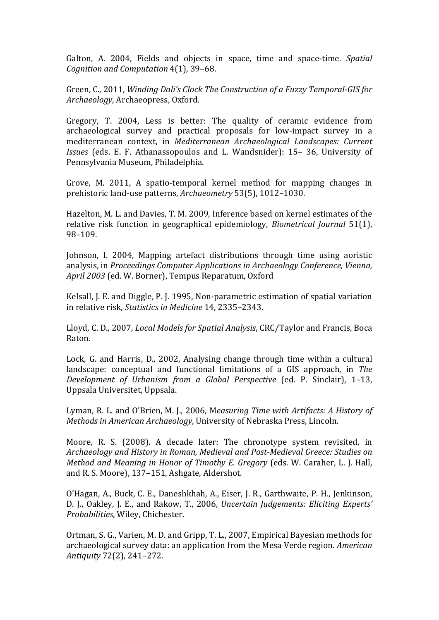Galton, A. 2004, Fields and objects in space, time and space-time. *Spatial Cognition+and+Computation+*4(1),'39–68.

Green, C., 2011, *Winding Dali's Clock The Construction of a Fuzzy Temporal-GIS for* Archaeology, Archaeopress, Oxford.

Gregory, T. 2004, Less is better: The quality of ceramic evidence from archaeological survey and practical proposals for low-impact survey in a mediterranean' context,' in' *Mediterranean+ Archaeological+ Landscapes:+ Current+ Issues* (eds. E. F. Athanassopoulos and L. Wandsnider): 15–36, University of Pennsylvania Museum, Philadelphia.

Grove, M. 2011, A spatio-temporal kernel method for mapping changes in prehistoric land-use patterns, *Archaeometry* 53(5), 1012–1030.

Hazelton, M. L. and Davies, T. M. 2009, Inference based on kernel estimates of the relative risk function in geographical epidemiology, *Biometrical Journal* 51(1), 98–109.

Johnson, I. 2004, Mapping artefact distributions through time using aoristic analysis, in Proceedings Computer Applications in Archaeology Conference, Vienna, April 2003 (ed. W. Borner), Tempus Reparatum, Oxford

Kelsall, J. E. and Diggle, P. J. 1995, Non-parametric estimation of spatial variation in relative risk, *Statistics in Medicine* 14, 2335–2343.

Lloyd, C. D., 2007, *Local Models for Spatial Analysis*, CRC/Taylor and Francis, Boca Raton.'

Lock, G. and Harris, D., 2002, Analysing change through time within a cultural landscape: conceptual and functional limitations of a GIS approach, in *The Development of Urbanism from a Global Perspective* (ed. P. Sinclair), 1–13, Uppsala'Universitet, Uppsala.

Lyman, R. L. and O'Brien, M. J., 2006, Measuring Time with Artifacts: A History of *Methods in American Archaeology*, University of Nebraska Press, Lincoln.

Moore, R. S. (2008). A decade later: The chronotype system revisited, in *Archaeology and History in Roman, Medieval and Post-Medieval Greece: Studies on Method and Meaning in Honor of Timothy E. Gregory* (eds. W. Caraher, L. J. Hall, and R.S. Moore), 137–151, Ashgate, Aldershot.

O'Hagan, A., Buck, C. E., Daneshkhah, A., Eiser, J. R., Garthwaite, P. H., Jenkinson, D. J., Oakley, J. E., and Rakow, T., 2006, *Uncertain Judgements: Eliciting Experts' Probabilities*, Wiley, Chichester.

Ortman, S. G., Varien, M. D. and Gripp, T. L., 2007, Empirical Bayesian methods for archaeological survey data: an application from the Mesa Verde region. *American Antiquity*'72(2),'241–272.